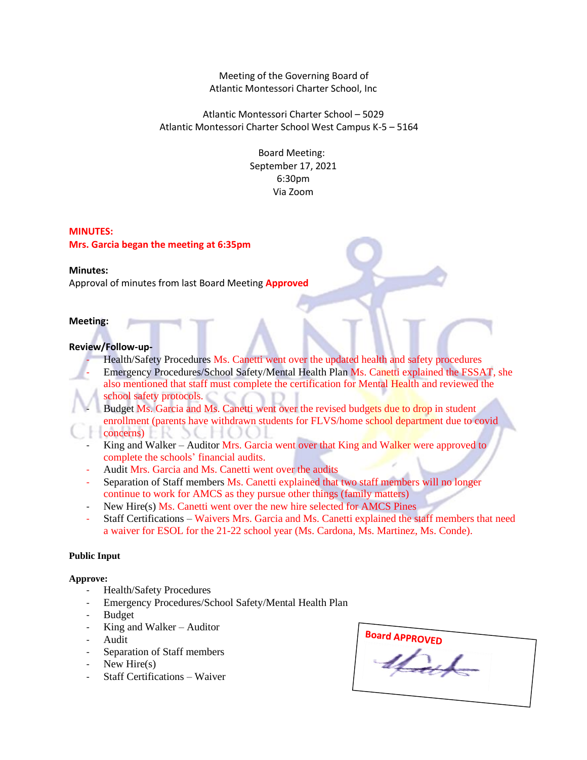Meeting of the Governing Board of Atlantic Montessori Charter School, Inc

Atlantic Montessori Charter School – 5029 Atlantic Montessori Charter School West Campus K-5 – 5164

> Board Meeting: September 17, 2021 6:30pm Via Zoom

## **MINUTES:**

**Mrs. Garcia began the meeting at 6:35pm**

### **Minutes:**

Approval of minutes from last Board Meeting **Approved**

### **Meeting:**

### **Review/Follow-up-**

Health/Safety Procedures Ms. Canetti went over the updated health and safety procedures

- Emergency Procedures/School Safety/Mental Health Plan Ms. Canetti explained the FSSAT, she also mentioned that staff must complete the certification for Mental Health and reviewed the school safety protocols.
- Budget Ms. Garcia and Ms. Canetti went over the revised budgets due to drop in student enrollment (parents have withdrawn students for FLVS/home school department due to covid concerns)
- King and Walker Auditor Mrs. Garcia went over that King and Walker were approved to complete the schools' financial audits.
- Audit Mrs. Garcia and Ms. Canetti went over the audits
- Separation of Staff members Ms. Canetti explained that two staff members will no longer continue to work for AMCS as they pursue other things (family matters)
- New Hire(s) Ms. Canetti went over the new hire selected for AMCS Pines
- Staff Certifications Waivers Mrs. Garcia and Ms. Canetti explained the staff members that need a waiver for ESOL for the 21-22 school year (Ms. Cardona, Ms. Martinez, Ms. Conde).

# **Public Input**

## **Approve:**

- Health/Safety Procedures
- Emergency Procedures/School Safety/Mental Health Plan
- Budget
- $King$  and Walker Auditor
- Audit
- Separation of Staff members
- New Hire $(s)$
- Staff Certifications Waiver

| <b>Board APPROVED</b> |
|-----------------------|
|                       |
|                       |
|                       |